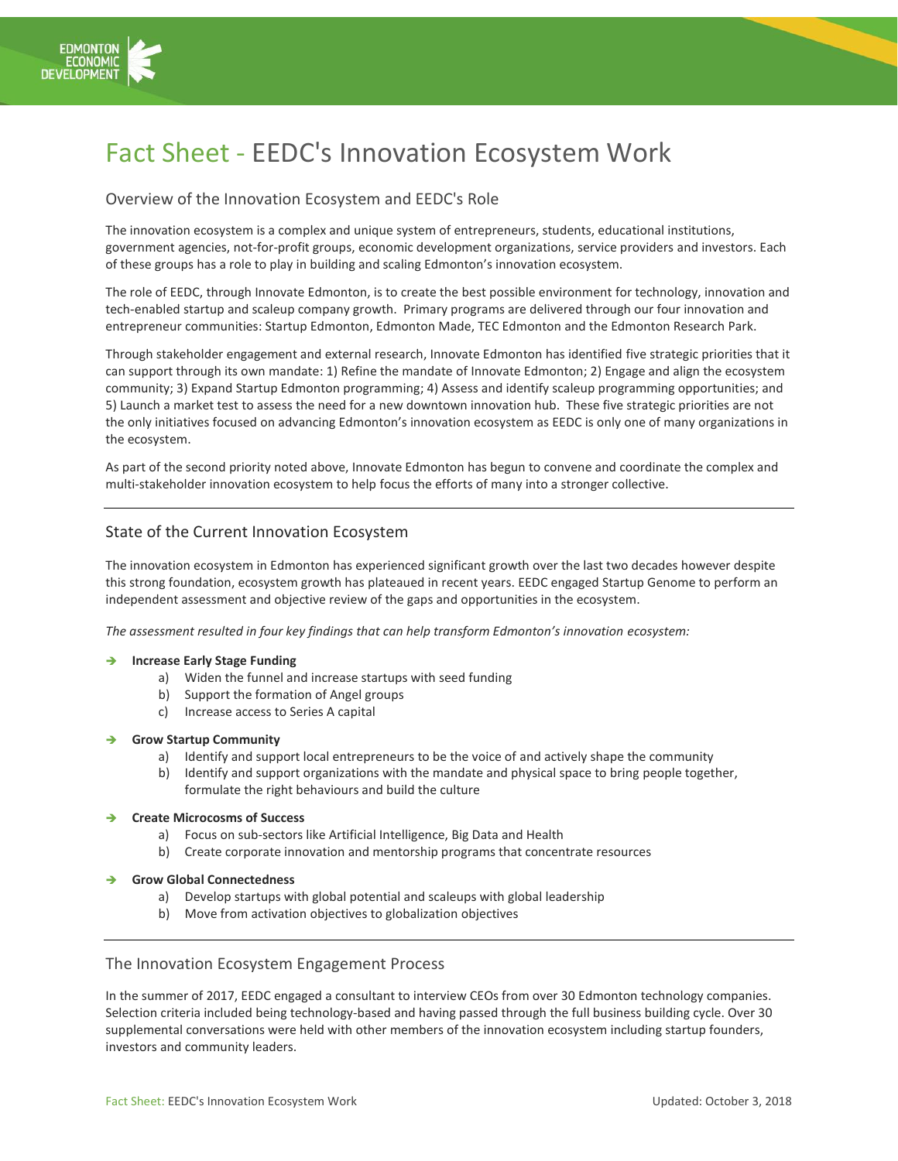

# Fact Sheet - EEDC's Innovation Ecosystem Work

# Overview of the Innovation Ecosystem and EEDC's Role

The innovation ecosystem is a complex and unique system of entrepreneurs, students, educational institutions, government agencies, not-for-profit groups, economic development organizations, service providers and investors. Each of these groups has a role to play in building and scaling Edmonton's innovation ecosystem.

The role of EEDC, through Innovate Edmonton, is to create the best possible environment for technology, innovation and tech-enabled startup and scaleup company growth. Primary programs are delivered through our four innovation and entrepreneur communities: Startup Edmonton, Edmonton Made, TEC Edmonton and the Edmonton Research Park.

Through stakeholder engagement and external research, Innovate Edmonton has identified five strategic priorities that it can support through its own mandate: 1) Refine the mandate of Innovate Edmonton; 2) Engage and align the ecosystem community; 3) Expand Startup Edmonton programming; 4) Assess and identify scaleup programming opportunities; and 5) Launch a market test to assess the need for a new downtown innovation hub. These five strategic priorities are not the only initiatives focused on advancing Edmonton's innovation ecosystem as EEDC is only one of many organizations in the ecosystem.

As part of the second priority noted above, Innovate Edmonton has begun to convene and coordinate the complex and multi-stakeholder innovation ecosystem to help focus the efforts of many into a stronger collective.

# State of the Current Innovation Ecosystem

The innovation ecosystem in Edmonton has experienced significant growth over the last two decades however despite this strong foundation, ecosystem growth has plateaued in recent years. EEDC engaged Startup Genome to perform an independent assessment and objective review of the gaps and opportunities in the ecosystem.

*The assessment resulted in four key findings that can help transform Edmonton's innovation ecosystem:*

### ➔ **Increase Early Stage Funding**

- a) Widen the funnel and increase startups with seed funding
- b) Support the formation of Angel groups
- c) Increase access to Series A capital

#### ➔ **Grow Startup Community**

- a) Identify and support local entrepreneurs to be the voice of and actively shape the community
- b) Identify and support organizations with the mandate and physical space to bring people together, formulate the right behaviours and build the culture
- ➔ **Create Microcosms of Success**
	- a) Focus on sub-sectors like Artificial Intelligence, Big Data and Health
	- b) Create corporate innovation and mentorship programs that concentrate resources
- ➔ **Grow Global Connectedness**
	- a) Develop startups with global potential and scaleups with global leadership
	- b) Move from activation objectives to globalization objectives

## The Innovation Ecosystem Engagement Process

In the summer of 2017, EEDC engaged a consultant to interview CEOs from over 30 Edmonton technology companies. Selection criteria included being technology-based and having passed through the full business building cycle. Over 30 supplemental conversations were held with other members of the innovation ecosystem including startup founders, investors and community leaders.